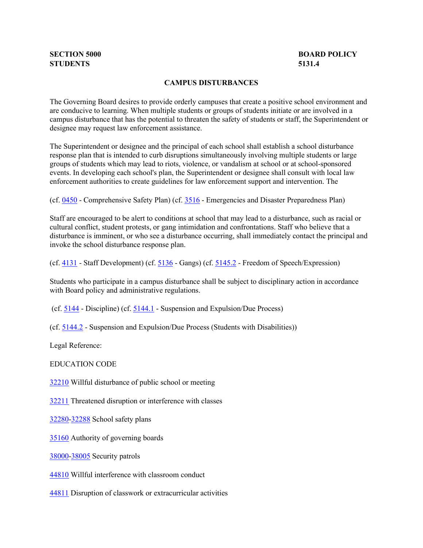## **SECTION 5000 STUDENTS 5131.4**

## **BOARD POLICY**

## **CAMPUS DISTURBANCES**

 The Governing Board desires to provide orderly campuses that create a positive school environment and are conducive to learning. When multiple students or groups of students initiate or are involved in a campus disturbance that has the potential to threaten the safety of students or staff, the Superintendent or designee may request law enforcement assistance.

 The Superintendent or designee and the principal of each school shall establish a school disturbance response plan that is intended to curb disruptions simultaneously involving multiple students or large groups of students which may lead to riots, violence, or vandalism at school or at school-sponsored events. In developing each school's plan, the Superintendent or designee shall consult with local law enforcement authorities to create guidelines for law enforcement support and intervention. The

(cf[. 0450](http://gamutonline.net/displayPolicy/1053052/5) - Comprehensive Safety Plan) (cf. [3516](http://gamutonline.net/displayPolicy/352641/5) - Emergencies and Disaster Preparedness Plan)

 Staff are encouraged to be alert to conditions at school that may lead to a disturbance, such as racial or cultural conflict, student protests, or gang intimidation and confrontations. Staff who believe that a disturbance is imminent, or who see a disturbance occurring, shall immediately contact the principal and invoke the school disturbance response plan.

(cf.  $\frac{4131}{ }$  - Staff Development) (cf.  $\frac{5136}{ }$  - Gangs) (cf.  $\frac{5145.2}{ }$  - Freedom of Speech/Expression)

 Students who participate in a campus disturbance shall be subject to disciplinary action in accordance with Board policy and administrative regulations.

(cf. [5144](http://gamutonline.net/displayPolicy/909486/5) - Discipline) (cf. [5144.1](http://gamutonline.net/displayPolicy/909488/5) - Suspension and Expulsion/Due Process)

(cf[. 5144.2](http://gamutonline.net/displayPolicy/288773/5) - Suspension and Expulsion/Due Process (Students with Disabilities))

Legal Reference:

EDUCATION CODE

[32210](http://gamutonline.net/displayPolicy/131119/5) Willful disturbance of public school or meeting

[32211](http://gamutonline.net/displayPolicy/131120/5) Threatened disruption or interference with classes

[32280-](http://gamutonline.net/displayPolicy/315704/5)[32288](http://gamutonline.net/displayPolicy/315712/5) School safety plans

[35160](http://gamutonline.net/displayPolicy/131397/5) Authority of governing boards

[38000-](http://gamutonline.net/displayPolicy/137122/5)[38005](http://gamutonline.net/displayPolicy/137127/5) Security patrols

[44810](http://gamutonline.net/displayPolicy/130926/5) Willful interference with classroom conduct

[44811](http://gamutonline.net/displayPolicy/130927/5) Disruption of classwork or extracurricular activities